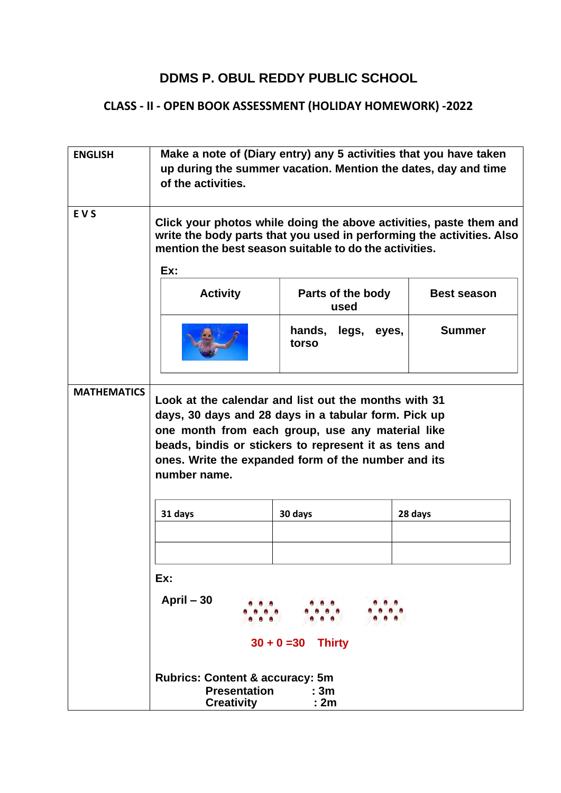## **DDMS P. OBUL REDDY PUBLIC SCHOOL**

## **CLASS - II - OPEN BOOK ASSESSMENT (HOLIDAY HOMEWORK) -2022**

| <b>ENGLISH</b>     | Make a note of (Diary entry) any 5 activities that you have taken<br>up during the summer vacation. Mention the dates, day and time<br>of the activities.                                                                                                                                        |                             |                    |
|--------------------|--------------------------------------------------------------------------------------------------------------------------------------------------------------------------------------------------------------------------------------------------------------------------------------------------|-----------------------------|--------------------|
|                    |                                                                                                                                                                                                                                                                                                  |                             |                    |
| <b>EVS</b>         | Click your photos while doing the above activities, paste them and<br>write the body parts that you used in performing the activities. Also<br>mention the best season suitable to do the activities.<br>Ex:                                                                                     |                             |                    |
|                    | <b>Activity</b>                                                                                                                                                                                                                                                                                  | Parts of the body<br>used   | <b>Best season</b> |
|                    |                                                                                                                                                                                                                                                                                                  | hands, legs, eyes,<br>torso | <b>Summer</b>      |
| <b>MATHEMATICS</b> | Look at the calendar and list out the months with 31<br>days, 30 days and 28 days in a tabular form. Pick up<br>one month from each group, use any material like<br>beads, bindis or stickers to represent it as tens and<br>ones. Write the expanded form of the number and its<br>number name. |                             |                    |
|                    | 31 days                                                                                                                                                                                                                                                                                          | 30 days                     | 28 days            |
|                    | Ex:<br>April - 30<br>$30 + 0 = 30$ Thirty                                                                                                                                                                                                                                                        |                             |                    |
|                    | <b>Rubrics: Content &amp; accuracy: 5m</b><br><b>Presentation</b><br>: 3m<br>: 2m<br><b>Creativity</b>                                                                                                                                                                                           |                             |                    |